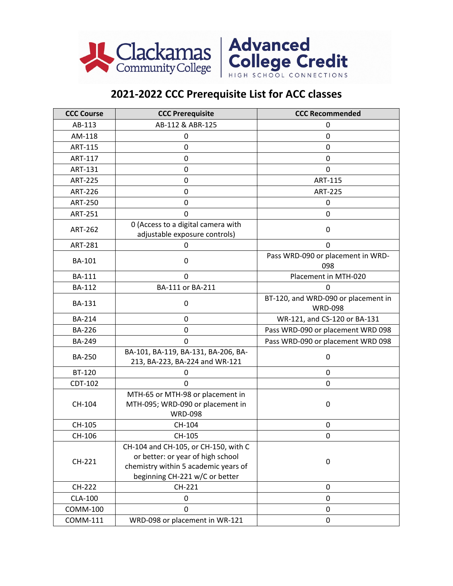



## **2021-2022 CCC Prerequisite List for ACC classes**

| <b>CCC Course</b> | <b>CCC Prerequisite</b>                                                                                                                             | <b>CCC Recommended</b>                                |
|-------------------|-----------------------------------------------------------------------------------------------------------------------------------------------------|-------------------------------------------------------|
| AB-113            | AB-112 & ABR-125                                                                                                                                    | 0                                                     |
| AM-118            | 0                                                                                                                                                   | 0                                                     |
| <b>ART-115</b>    | 0                                                                                                                                                   | 0                                                     |
| ART-117           | 0                                                                                                                                                   | 0                                                     |
| ART-131           | 0                                                                                                                                                   | $\Omega$                                              |
| <b>ART-225</b>    | 0                                                                                                                                                   | ART-115                                               |
| <b>ART-226</b>    | $\mathbf 0$                                                                                                                                         | <b>ART-225</b>                                        |
| <b>ART-250</b>    | 0                                                                                                                                                   | 0                                                     |
| <b>ART-251</b>    | 0                                                                                                                                                   | 0                                                     |
| <b>ART-262</b>    | 0 (Access to a digital camera with<br>adjustable exposure controls)                                                                                 | 0                                                     |
| <b>ART-281</b>    | 0                                                                                                                                                   | 0                                                     |
| <b>BA-101</b>     | 0                                                                                                                                                   | Pass WRD-090 or placement in WRD-<br>098              |
| <b>BA-111</b>     | 0                                                                                                                                                   | Placement in MTH-020                                  |
| <b>BA-112</b>     | BA-111 or BA-211                                                                                                                                    | 0                                                     |
| <b>BA-131</b>     | 0                                                                                                                                                   | BT-120, and WRD-090 or placement in<br><b>WRD-098</b> |
| <b>BA-214</b>     | 0                                                                                                                                                   | WR-121, and CS-120 or BA-131                          |
| <b>BA-226</b>     | 0                                                                                                                                                   | Pass WRD-090 or placement WRD 098                     |
| BA-249            | 0                                                                                                                                                   | Pass WRD-090 or placement WRD 098                     |
| <b>BA-250</b>     | BA-101, BA-119, BA-131, BA-206, BA-<br>213, BA-223, BA-224 and WR-121                                                                               | $\pmb{0}$                                             |
| <b>BT-120</b>     | 0                                                                                                                                                   | 0                                                     |
| CDT-102           | 0                                                                                                                                                   | 0                                                     |
| CH-104            | MTH-65 or MTH-98 or placement in<br>MTH-095; WRD-090 or placement in<br><b>WRD-098</b>                                                              | $\mathbf 0$                                           |
| CH-105            | CH-104                                                                                                                                              | 0                                                     |
| CH-106            | CH-105                                                                                                                                              | 0                                                     |
| CH-221            | CH-104 and CH-105, or CH-150, with C<br>or better: or year of high school<br>chemistry within 5 academic years of<br>beginning CH-221 w/C or better | $\mathbf 0$                                           |
| CH-222            | CH-221                                                                                                                                              | $\mathbf 0$                                           |
| CLA-100           | 0                                                                                                                                                   | 0                                                     |
| <b>COMM-100</b>   | 0                                                                                                                                                   | 0                                                     |
| COMM-111          | WRD-098 or placement in WR-121                                                                                                                      | 0                                                     |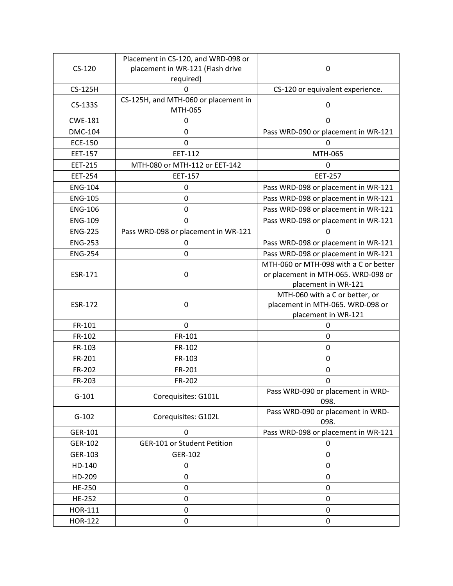|                | Placement in CS-120, and WRD-098 or  |                                       |
|----------------|--------------------------------------|---------------------------------------|
| $CS-120$       | placement in WR-121 (Flash drive     | 0                                     |
|                | required)                            |                                       |
| <b>CS-125H</b> | 0                                    | CS-120 or equivalent experience.      |
| CS-133S        | CS-125H, and MTH-060 or placement in | 0                                     |
|                | MTH-065                              |                                       |
| <b>CWE-181</b> | 0                                    | $\Omega$                              |
| <b>DMC-104</b> | $\mathbf 0$                          | Pass WRD-090 or placement in WR-121   |
| <b>ECE-150</b> | $\mathbf 0$                          | $\Omega$                              |
| EET-157        | EET-112                              | MTH-065                               |
| <b>EET-215</b> | MTH-080 or MTH-112 or EET-142        | 0                                     |
| <b>EET-254</b> | EET-157                              | <b>EET-257</b>                        |
| <b>ENG-104</b> | 0                                    | Pass WRD-098 or placement in WR-121   |
| <b>ENG-105</b> | $\mathbf 0$                          | Pass WRD-098 or placement in WR-121   |
| <b>ENG-106</b> | $\mathbf 0$                          | Pass WRD-098 or placement in WR-121   |
| <b>ENG-109</b> | $\Omega$                             | Pass WRD-098 or placement in WR-121   |
| <b>ENG-225</b> | Pass WRD-098 or placement in WR-121  | 0                                     |
| <b>ENG-253</b> | 0                                    | Pass WRD-098 or placement in WR-121   |
| <b>ENG-254</b> | $\mathbf 0$                          | Pass WRD-098 or placement in WR-121   |
|                |                                      | MTH-060 or MTH-098 with a C or better |
| ESR-171        | 0                                    | or placement in MTH-065. WRD-098 or   |
|                |                                      | placement in WR-121                   |
|                |                                      | MTH-060 with a C or better, or        |
| <b>ESR-172</b> | 0                                    | placement in MTH-065. WRD-098 or      |
|                |                                      | placement in WR-121                   |
| FR-101         | $\mathbf 0$                          | 0                                     |
| FR-102         | FR-101                               | $\mathbf 0$                           |
| FR-103         | FR-102                               | $\mathbf 0$                           |
| FR-201         | FR-103                               | $\mathbf 0$                           |
| FR-202         | FR-201                               | $\mathbf 0$                           |
| FR-203         | FR-202                               | $\mathbf 0$                           |
|                | Corequisites: G101L                  | Pass WRD-090 or placement in WRD-     |
| $G-101$        |                                      | 098.                                  |
| $G-102$        | Corequisites: G102L                  | Pass WRD-090 or placement in WRD-     |
|                |                                      | 098.                                  |
| GER-101        | 0                                    | Pass WRD-098 or placement in WR-121   |
| GER-102        | GER-101 or Student Petition          | 0                                     |
| GER-103        | GER-102                              | 0                                     |
| HD-140         | 0                                    | 0                                     |
| HD-209         | 0                                    | 0                                     |
| HE-250         | 0                                    | 0                                     |
| HE-252         | 0                                    | 0                                     |
| HOR-111        | 0                                    | 0                                     |
| <b>HOR-122</b> | 0                                    | 0                                     |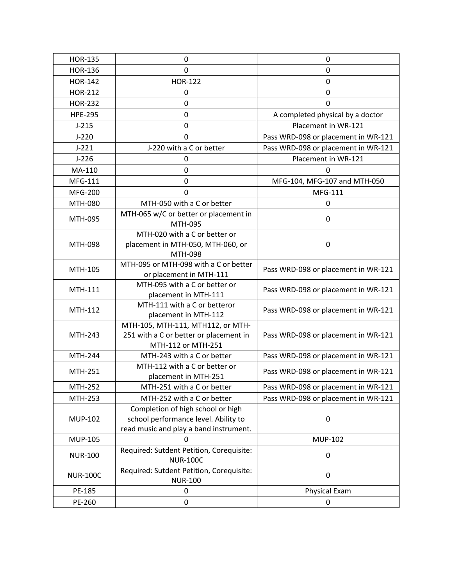| <b>HOR-135</b>  | $\pmb{0}$                                                                                                           | $\mathbf 0$                         |
|-----------------|---------------------------------------------------------------------------------------------------------------------|-------------------------------------|
| <b>HOR-136</b>  | $\mathbf 0$                                                                                                         | $\mathbf 0$                         |
| <b>HOR-142</b>  | <b>HOR-122</b>                                                                                                      | 0                                   |
| <b>HOR-212</b>  | 0                                                                                                                   | $\mathbf 0$                         |
| <b>HOR-232</b>  | $\mathbf 0$                                                                                                         | $\mathbf 0$                         |
| <b>HPE-295</b>  | $\mathbf 0$                                                                                                         | A completed physical by a doctor    |
| $J-215$         | $\mathbf 0$                                                                                                         | Placement in WR-121                 |
| $J-220$         | 0                                                                                                                   | Pass WRD-098 or placement in WR-121 |
| $J-221$         | J-220 with a C or better                                                                                            | Pass WRD-098 or placement in WR-121 |
| $J-226$         | 0                                                                                                                   | Placement in WR-121                 |
| MA-110          | $\mathbf 0$                                                                                                         | $\Omega$                            |
| MFG-111         | $\mathbf 0$                                                                                                         | MFG-104, MFG-107 and MTH-050        |
| <b>MFG-200</b>  | $\Omega$                                                                                                            | MFG-111                             |
| MTH-080         | MTH-050 with a C or better                                                                                          | 0                                   |
| MTH-095         | MTH-065 w/C or better or placement in<br>MTH-095                                                                    | 0                                   |
| MTH-098         | MTH-020 with a C or better or<br>placement in MTH-050, MTH-060, or<br>MTH-098                                       | 0                                   |
| MTH-105         | MTH-095 or MTH-098 with a C or better<br>or placement in MTH-111                                                    | Pass WRD-098 or placement in WR-121 |
| MTH-111         | MTH-095 with a C or better or<br>placement in MTH-111                                                               | Pass WRD-098 or placement in WR-121 |
| MTH-112         | MTH-111 with a C or betteror<br>placement in MTH-112                                                                | Pass WRD-098 or placement in WR-121 |
| MTH-243         | MTH-105, MTH-111, MTH112, or MTH-<br>251 with a C or better or placement in<br>MTH-112 or MTH-251                   | Pass WRD-098 or placement in WR-121 |
| MTH-244         | MTH-243 with a C or better                                                                                          | Pass WRD-098 or placement in WR-121 |
| MTH-251         | MTH-112 with a C or better or<br>placement in MTH-251                                                               | Pass WRD-098 or placement in WR-121 |
| MTH-252         | MTH-251 with a C or better                                                                                          | Pass WRD-098 or placement in WR-121 |
| MTH-253         | MTH-252 with a C or better                                                                                          | Pass WRD-098 or placement in WR-121 |
| <b>MUP-102</b>  | Completion of high school or high<br>school performance level. Ability to<br>read music and play a band instrument. | 0                                   |
| <b>MUP-105</b>  | 0                                                                                                                   | <b>MUP-102</b>                      |
| <b>NUR-100</b>  | Required: Sutdent Petition, Corequisite:<br><b>NUR-100C</b>                                                         | 0                                   |
| <b>NUR-100C</b> | Required: Sutdent Petition, Corequisite:<br><b>NUR-100</b>                                                          | 0                                   |
| PE-185          | 0                                                                                                                   | Physical Exam                       |
| PE-260          | 0                                                                                                                   | 0                                   |